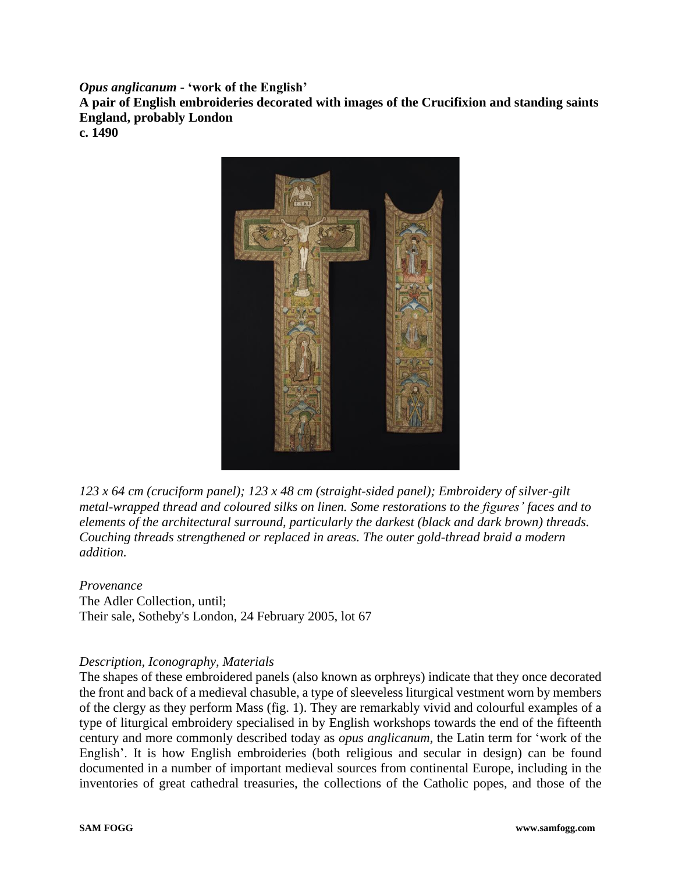*Opus anglicanum* **- 'work of the English'**

**A pair of English embroideries decorated with images of the Crucifixion and standing saints England, probably London**

**c. 1490**



*123 x 64 cm (cruciform panel); 123 x 48 cm (straight-sided panel); Embroidery of silver-gilt metal-wrapped thread and coloured silks on linen. Some restorations to the figures' faces and to elements of the architectural surround, particularly the darkest (black and dark brown) threads. Couching threads strengthened or replaced in areas. The outer gold-thread braid a modern addition.*

*Provenance* The Adler Collection, until; Their sale, Sotheby's London, 24 February 2005, lot 67

## *Description, Iconography, Materials*

The shapes of these embroidered panels (also known as orphreys) indicate that they once decorated the front and back of a medieval chasuble, a type of sleeveless liturgical vestment worn by members of the clergy as they perform Mass (fig. 1). They are remarkably vivid and colourful examples of a type of liturgical embroidery specialised in by English workshops towards the end of the fifteenth century and more commonly described today as *opus anglicanum,* the Latin term for 'work of the English'. It is how English embroideries (both religious and secular in design) can be found documented in a number of important medieval sources from continental Europe, including in the inventories of great cathedral treasuries, the collections of the Catholic popes, and those of the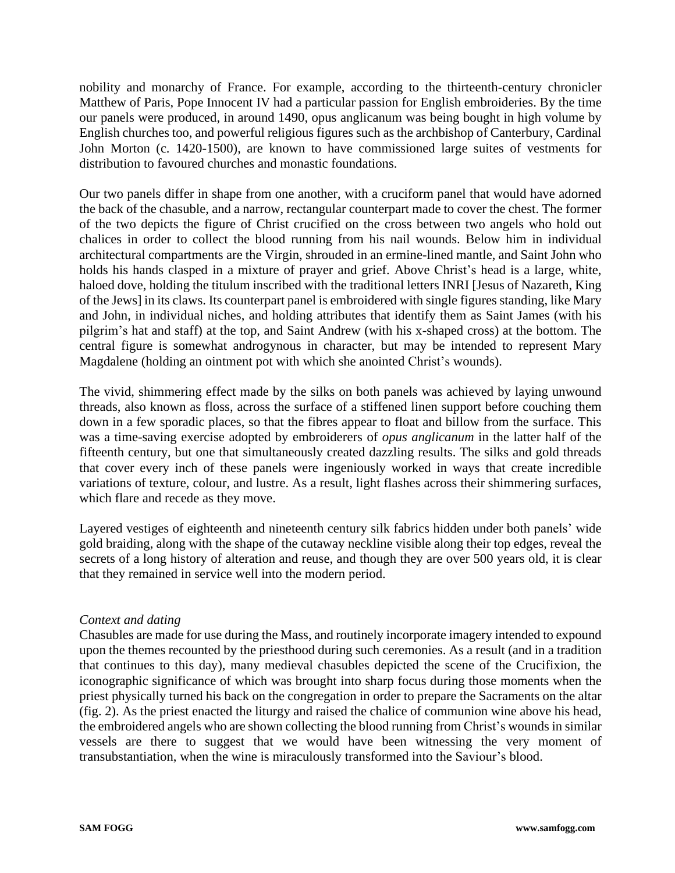nobility and monarchy of France. For example, according to the thirteenth-century chronicler Matthew of Paris, Pope Innocent IV had a particular passion for English embroideries. By the time our panels were produced, in around 1490, opus anglicanum was being bought in high volume by English churches too, and powerful religious figures such as the archbishop of Canterbury, Cardinal John Morton (c. 1420-1500), are known to have commissioned large suites of vestments for distribution to favoured churches and monastic foundations.

Our two panels differ in shape from one another, with a cruciform panel that would have adorned the back of the chasuble, and a narrow, rectangular counterpart made to cover the chest. The former of the two depicts the figure of Christ crucified on the cross between two angels who hold out chalices in order to collect the blood running from his nail wounds. Below him in individual architectural compartments are the Virgin, shrouded in an ermine-lined mantle, and Saint John who holds his hands clasped in a mixture of prayer and grief. Above Christ's head is a large, white, haloed dove, holding the titulum inscribed with the traditional letters INRI [Jesus of Nazareth, King of the Jews] in its claws. Its counterpart panel is embroidered with single figures standing, like Mary and John, in individual niches, and holding attributes that identify them as Saint James (with his pilgrim's hat and staff) at the top, and Saint Andrew (with his x-shaped cross) at the bottom. The central figure is somewhat androgynous in character, but may be intended to represent Mary Magdalene (holding an ointment pot with which she anointed Christ's wounds).

The vivid, shimmering effect made by the silks on both panels was achieved by laying unwound threads, also known as floss, across the surface of a stiffened linen support before couching them down in a few sporadic places, so that the fibres appear to float and billow from the surface. This was a time-saving exercise adopted by embroiderers of *opus anglicanum* in the latter half of the fifteenth century, but one that simultaneously created dazzling results. The silks and gold threads that cover every inch of these panels were ingeniously worked in ways that create incredible variations of texture, colour, and lustre. As a result, light flashes across their shimmering surfaces, which flare and recede as they move.

Layered vestiges of eighteenth and nineteenth century silk fabrics hidden under both panels' wide gold braiding, along with the shape of the cutaway neckline visible along their top edges, reveal the secrets of a long history of alteration and reuse, and though they are over 500 years old, it is clear that they remained in service well into the modern period.

## *Context and dating*

Chasubles are made for use during the Mass, and routinely incorporate imagery intended to expound upon the themes recounted by the priesthood during such ceremonies. As a result (and in a tradition that continues to this day), many medieval chasubles depicted the scene of the Crucifixion, the iconographic significance of which was brought into sharp focus during those moments when the priest physically turned his back on the congregation in order to prepare the Sacraments on the altar (fig. 2). As the priest enacted the liturgy and raised the chalice of communion wine above his head, the embroidered angels who are shown collecting the blood running from Christ's wounds in similar vessels are there to suggest that we would have been witnessing the very moment of transubstantiation, when the wine is miraculously transformed into the Saviour's blood.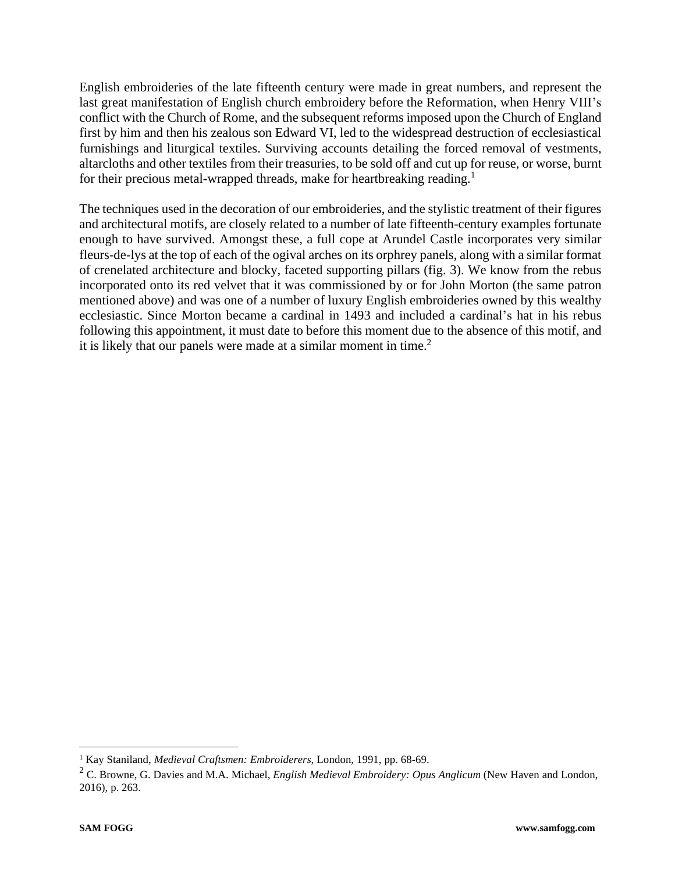English embroideries of the late fifteenth century were made in great numbers, and represent the last great manifestation of English church embroidery before the Reformation, when Henry VIII's conflict with the Church of Rome, and the subsequent reforms imposed upon the Church of England first by him and then his zealous son Edward VI, led to the widespread destruction of ecclesiastical furnishings and liturgical textiles. Surviving accounts detailing the forced removal of vestments, altarcloths and other textiles from their treasuries, to be sold off and cut up for reuse, or worse, burnt for their precious metal-wrapped threads, make for heartbreaking reading.<sup>1</sup>

The techniques used in the decoration of our embroideries, and the stylistic treatment of their figures and architectural motifs, are closely related to a number of late fifteenth-century examples fortunate enough to have survived. Amongst these, a full cope at Arundel Castle incorporates very similar fleurs-de-lys at the top of each of the ogival arches on its orphrey panels, along with a similar format of crenelated architecture and blocky, faceted supporting pillars (fig. 3). We know from the rebus incorporated onto its red velvet that it was commissioned by or for John Morton (the same patron mentioned above) and was one of a number of luxury English embroideries owned by this wealthy ecclesiastic. Since Morton became a cardinal in 1493 and included a cardinal's hat in his rebus following this appointment, it must date to before this moment due to the absence of this motif, and it is likely that our panels were made at a similar moment in time.<sup>2</sup>

<sup>1</sup> Kay Staniland, *Medieval Craftsmen: Embroiderers*, London, 1991, pp. 68-69.

<sup>2</sup> C. Browne, G. Davies and M.A. Michael, *English Medieval Embroidery: Opus Anglicum* (New Haven and London, 2016), p. 263.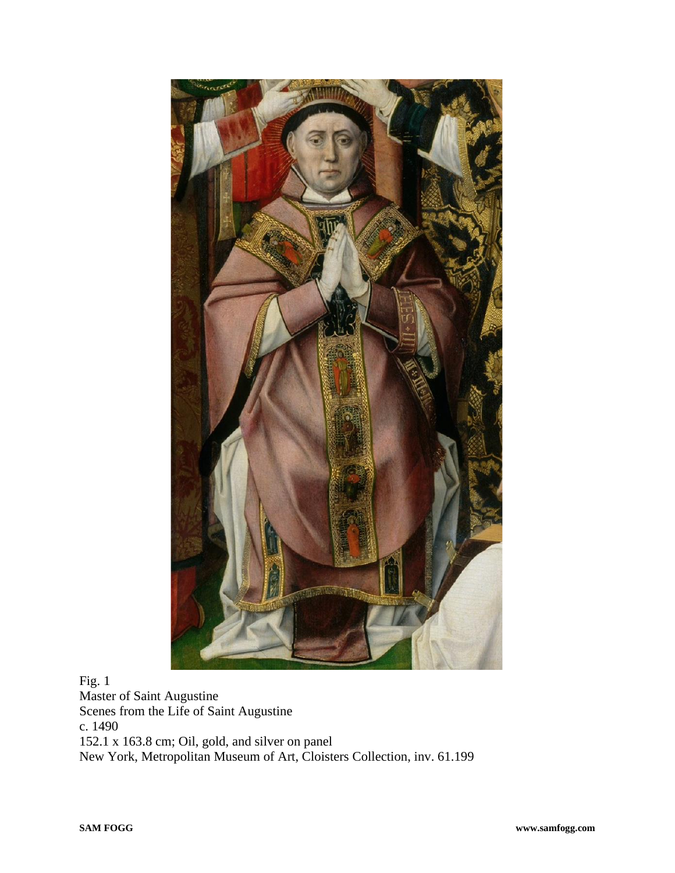

Fig. 1 Master of Saint Augustine Scenes from the Life of Saint Augustine c. 1490 152.1 x 163.8 cm; Oil, gold, and silver on panel New York, Metropolitan Museum of Art, Cloisters Collection, inv. 61.199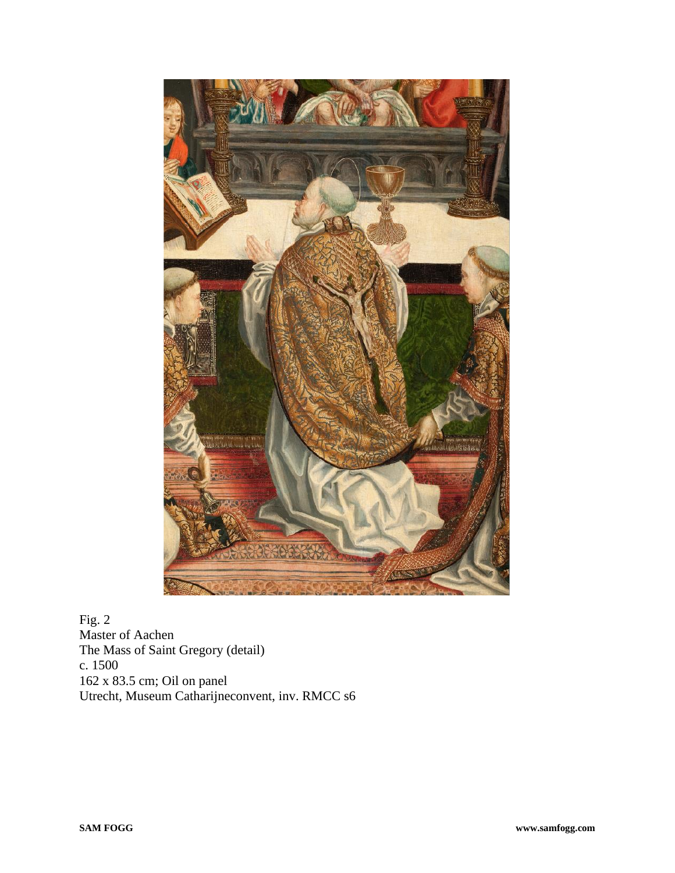

Fig. 2 Master of Aachen The Mass of Saint Gregory (detail) c. 1500 162 x 83.5 cm; Oil on panel Utrecht, Museum Catharijneconvent, inv. RMCC s6